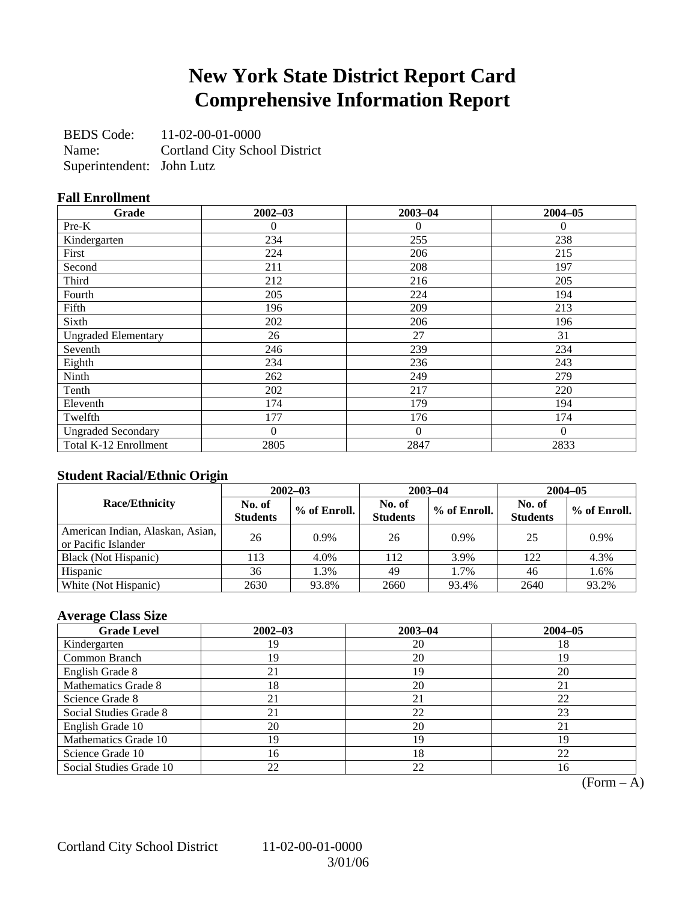## **New York State District Report Card Comprehensive Information Report**

BEDS Code: 11-02-00-01-0000 Name: Cortland City School District Superintendent: John Lutz

### **Fall Enrollment**

| Grade                      | $2002 - 03$    | $2003 - 04$    | $2004 - 05$ |
|----------------------------|----------------|----------------|-------------|
| Pre-K                      | $\Omega$       | $\theta$       | $\Omega$    |
| Kindergarten               | 234            | 255            | 238         |
| First                      | 224            | 206            | 215         |
| Second                     | 211            | 208            | 197         |
| Third                      | 212            | 216            | 205         |
| Fourth                     | 205            | 224            | 194         |
| Fifth                      | 196            | 209            | 213         |
| Sixth                      | 202            | 206            | 196         |
| <b>Ungraded Elementary</b> | 26             | 27             | 31          |
| Seventh                    | 246            | 239            | 234         |
| Eighth                     | 234            | 236            | 243         |
| Ninth                      | 262            | 249            | 279         |
| Tenth                      | 202            | 217            | 220         |
| Eleventh                   | 174            | 179            | 194         |
| Twelfth                    | 177            | 176            | 174         |
| <b>Ungraded Secondary</b>  | $\overline{0}$ | $\overline{0}$ | $\Omega$    |
| Total K-12 Enrollment      | 2805           | 2847           | 2833        |

### **Student Racial/Ethnic Origin**

|                                                         | $2002 - 03$               |              |                           | $2003 - 04$  | $2004 - 05$               |              |  |
|---------------------------------------------------------|---------------------------|--------------|---------------------------|--------------|---------------------------|--------------|--|
| <b>Race/Ethnicity</b>                                   | No. of<br><b>Students</b> | % of Enroll. | No. of<br><b>Students</b> | % of Enroll. | No. of<br><b>Students</b> | % of Enroll. |  |
| American Indian, Alaskan, Asian,<br>or Pacific Islander | 26                        | 0.9%         | 26                        | 0.9%         | 25                        | 0.9%         |  |
| Black (Not Hispanic)                                    | 113                       | 4.0%         | 112                       | 3.9%         | 122                       | 4.3%         |  |
| Hispanic                                                | 36                        | 1.3%         | 49                        | 1.7%         | 46                        | 1.6%         |  |
| White (Not Hispanic)                                    | 2630                      | 93.8%        | 2660                      | 93.4%        | 2640                      | 93.2%        |  |

## **Average Class Size**

| <b>Grade Level</b>      | $2002 - 03$ | $2003 - 04$ | $2004 - 05$ |
|-------------------------|-------------|-------------|-------------|
| Kindergarten            | 19          | 20          | 18          |
| Common Branch           | 19          | 20          | 19          |
| English Grade 8         |             | 19          | 20          |
| Mathematics Grade 8     | 18          | 20          | 21          |
| Science Grade 8         |             | 21          | 22          |
| Social Studies Grade 8  | 21          | 22          | 23          |
| English Grade 10        | 20          | 20          | 21          |
| Mathematics Grade 10    | 19          | 19          | 19          |
| Science Grade 10        | 16          | 18          | 22          |
| Social Studies Grade 10 | 22          | 22          | 16          |

 $(Form - A)$ 

Cortland City School District 11-02-00-01-0000

3/01/06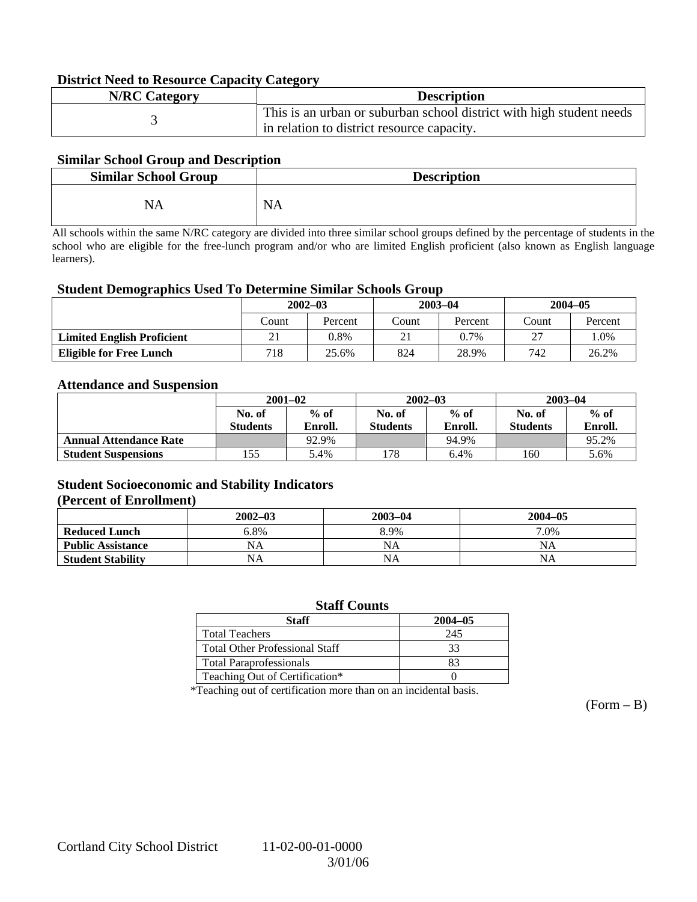### **District Need to Resource Capacity Category**

| <b>N/RC Category</b> | <b>Description</b>                                                   |
|----------------------|----------------------------------------------------------------------|
|                      | This is an urban or suburban school district with high student needs |
|                      | in relation to district resource capacity.                           |

### **Similar School Group and Description**

| <b>Similar School Group</b> | <b>Description</b> |
|-----------------------------|--------------------|
| NA                          | <b>NA</b>          |

All schools within the same N/RC category are divided into three similar school groups defined by the percentage of students in the school who are eligible for the free-lunch program and/or who are limited English proficient (also known as English language learners).

#### **Student Demographics Used To Determine Similar Schools Group**

|                                   | $2002 - 03$ |         | $2003 - 04$ |         | $2004 - 05$ |         |
|-----------------------------------|-------------|---------|-------------|---------|-------------|---------|
|                                   | Count       | Percent | Count       | Percent | Count       | Percent |
| <b>Limited English Proficient</b> | 21          | 0.8%    |             | 0.7%    | つつ          | 1.0%    |
| <b>Eligible for Free Lunch</b>    | 718         | 25.6%   | 824         | 28.9%   | 742         | 26.2%   |

#### **Attendance and Suspension**

|                               | $2001 - 02$<br>$%$ of<br>No. of |         |                  | $2002 - 03$ | $2003 - 04$     |         |
|-------------------------------|---------------------------------|---------|------------------|-------------|-----------------|---------|
|                               |                                 |         | $%$ of<br>No. of |             | No. of          | $%$ of  |
|                               | <b>Students</b>                 | Enroll. | <b>Students</b>  | Enroll.     | <b>Students</b> | Enroll. |
| <b>Annual Attendance Rate</b> |                                 | 92.9%   |                  | 94.9%       |                 | 95.2%   |
| <b>Student Suspensions</b>    | 155                             | 5.4%    | .78              | 6.4%        | 160             | 5.6%    |

### **Student Socioeconomic and Stability Indicators (Percent of Enrollment)**

|                          | $2002 - 03$ | $2003 - 04$ | $2004 - 05$ |
|--------------------------|-------------|-------------|-------------|
| <b>Reduced Lunch</b>     | 6.8%        | 8.9%        | 7.0%        |
| <b>Public Assistance</b> | NA          | NA          | NA          |
| <b>Student Stability</b> | NA          | <b>NA</b>   | NA          |

#### **Staff Counts**

| Staff                                 | $2004 - 05$ |
|---------------------------------------|-------------|
| <b>Total Teachers</b>                 | 245         |
| <b>Total Other Professional Staff</b> | 33          |
| <b>Total Paraprofessionals</b>        | 83          |
| Teaching Out of Certification*        |             |

\*Teaching out of certification more than on an incidental basis.

 $(Form - B)$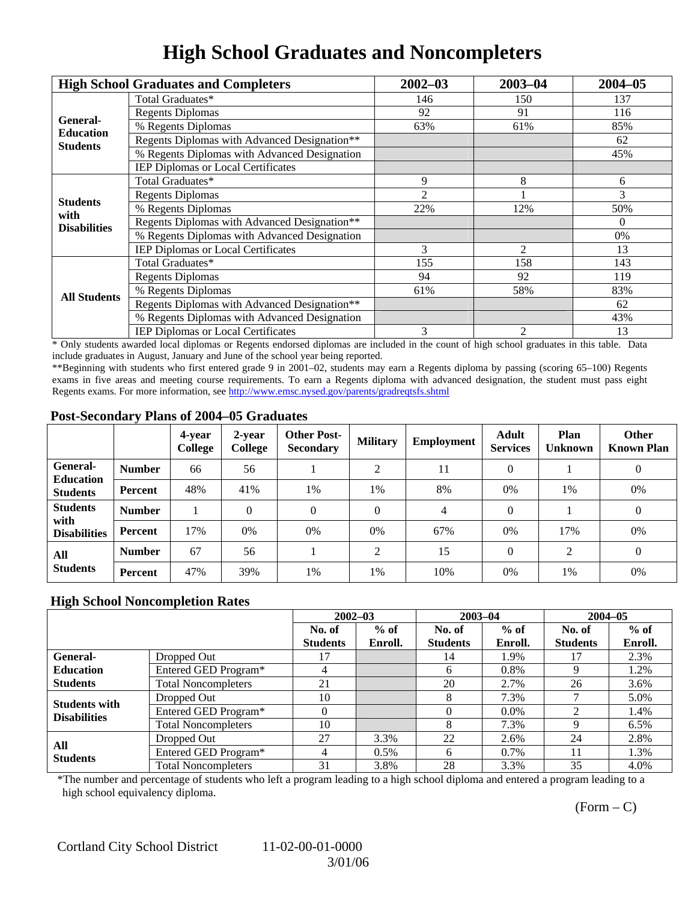# **High School Graduates and Noncompleters**

|                     | <b>High School Graduates and Completers</b>  | $2002 - 03$                                                                        | $2003 - 04$ | $2004 - 05$ |
|---------------------|----------------------------------------------|------------------------------------------------------------------------------------|-------------|-------------|
|                     | Total Graduates*                             | 146                                                                                | 150         | 137         |
| General-            | <b>Regents Diplomas</b>                      | 92                                                                                 | 91          | 116         |
| <b>Education</b>    | % Regents Diplomas                           | 63%                                                                                | 61%         | 85%         |
| <b>Students</b>     | Regents Diplomas with Advanced Designation** |                                                                                    |             | 62          |
|                     | % Regents Diplomas with Advanced Designation |                                                                                    |             | 45%         |
|                     | IEP Diplomas or Local Certificates           |                                                                                    |             |             |
|                     | Total Graduates*                             | 9                                                                                  | 8           | 6           |
| <b>Students</b>     | <b>Regents Diplomas</b>                      | 2                                                                                  |             | 3           |
| with                | % Regents Diplomas                           | 22%                                                                                | 12%         | 50%         |
| <b>Disabilities</b> | Regents Diplomas with Advanced Designation** |                                                                                    |             | $\Omega$    |
|                     | % Regents Diplomas with Advanced Designation | 3<br>$\overline{2}$<br>155<br>158<br>94<br>92<br>61%<br>58%<br>3<br>$\overline{c}$ | 0%          |             |
|                     | IEP Diplomas or Local Certificates           |                                                                                    |             | 13          |
|                     | Total Graduates*                             |                                                                                    |             | 143         |
|                     | <b>Regents Diplomas</b>                      |                                                                                    |             | 119         |
| <b>All Students</b> | % Regents Diplomas                           | 62<br>13                                                                           | 83%         |             |
|                     | Regents Diplomas with Advanced Designation** |                                                                                    |             |             |
|                     | % Regents Diplomas with Advanced Designation |                                                                                    |             | 43%         |
|                     | <b>IEP Diplomas or Local Certificates</b>    |                                                                                    |             |             |

\* Only students awarded local diplomas or Regents endorsed diplomas are included in the count of high school graduates in this table. Data include graduates in August, January and June of the school year being reported.

\*\*Beginning with students who first entered grade 9 in 2001–02, students may earn a Regents diploma by passing (scoring 65–100) Regents exams in five areas and meeting course requirements. To earn a Regents diploma with advanced designation, the student must pass eight Regents exams. For more information, see http://www.emsc.nysed.gov/parents/gradreqtsfs.shtml

### **Post-Secondary Plans of 2004–05 Graduates**

|                                                |               | 4-year<br>College | 2-year<br>College | <b>Other Post-</b><br><b>Secondary</b> | <b>Military</b> | <b>Employment</b> | <b>Adult</b><br><b>Services</b> | Plan<br><b>Unknown</b> | <b>Other</b><br><b>Known Plan</b> |
|------------------------------------------------|---------------|-------------------|-------------------|----------------------------------------|-----------------|-------------------|---------------------------------|------------------------|-----------------------------------|
| <b>General-</b><br><b>Education</b>            | <b>Number</b> | 66                | 56                |                                        | ◠               | 11                | $\Omega$                        |                        | $\mathbf{0}$                      |
| <b>Students</b>                                | Percent       | 48%               | 41%               | 1%                                     | 1%              | 8%                | $0\%$                           | 1%                     | 0%                                |
| <b>Students</b><br>with<br><b>Disabilities</b> | <b>Number</b> |                   | $\theta$          | $\Omega$                               | $\Omega$        | $\overline{4}$    | $\Omega$                        |                        | $\theta$                          |
|                                                | Percent       | 17%               | 0%                | 0%                                     | 0%              | 67%               | $0\%$                           | 17%                    | 0%                                |
| All<br><b>Students</b>                         | <b>Number</b> | 67                | 56                |                                        | ↑               | 15                | $\Omega$                        | 2                      | $\mathbf{0}$                      |
|                                                | Percent       | 47%               | 39%               | 1%                                     | 1%              | 10%               | 0%                              | 1%                     | 0%                                |

### **High School Noncompletion Rates**

|                        |                            | $2002 - 03$     |         | $2003 - 04$     |         | $2004 - 05$     |         |
|------------------------|----------------------------|-----------------|---------|-----------------|---------|-----------------|---------|
|                        |                            | No. of          | $%$ of  | No. of          | $%$ of  | No. of          | $%$ of  |
|                        |                            | <b>Students</b> | Enroll. | <b>Students</b> | Enroll. | <b>Students</b> | Enroll. |
| General-               | Dropped Out                |                 |         | 14              | 1.9%    | 17              | 2.3%    |
| <b>Education</b>       | Entered GED Program*       | 4               |         | 6               | 0.8%    |                 | 1.2%    |
| <b>Students</b>        | <b>Total Noncompleters</b> | 21              |         | 20              | 2.7%    | 26              | 3.6%    |
| <b>Students with</b>   | Dropped Out                | 10              |         | 8               | 7.3%    |                 | 5.0%    |
| <b>Disabilities</b>    | Entered GED Program*       |                 |         |                 | $0.0\%$ |                 | 1.4%    |
|                        | <b>Total Noncompleters</b> | 10              |         | 8               | 7.3%    |                 | 6.5%    |
| All<br><b>Students</b> | Dropped Out                | 27              | 3.3%    | 22              | 2.6%    | 24              | 2.8%    |
|                        | Entered GED Program*       | 4               | $0.5\%$ | 6               | $0.7\%$ | 11              | 1.3%    |
|                        | <b>Total Noncompleters</b> | 31              | 3.8%    | 28              | 3.3%    | 35              | 4.0%    |

\*The number and percentage of students who left a program leading to a high school diploma and entered a program leading to a high school equivalency diploma.

 $(Form - C)$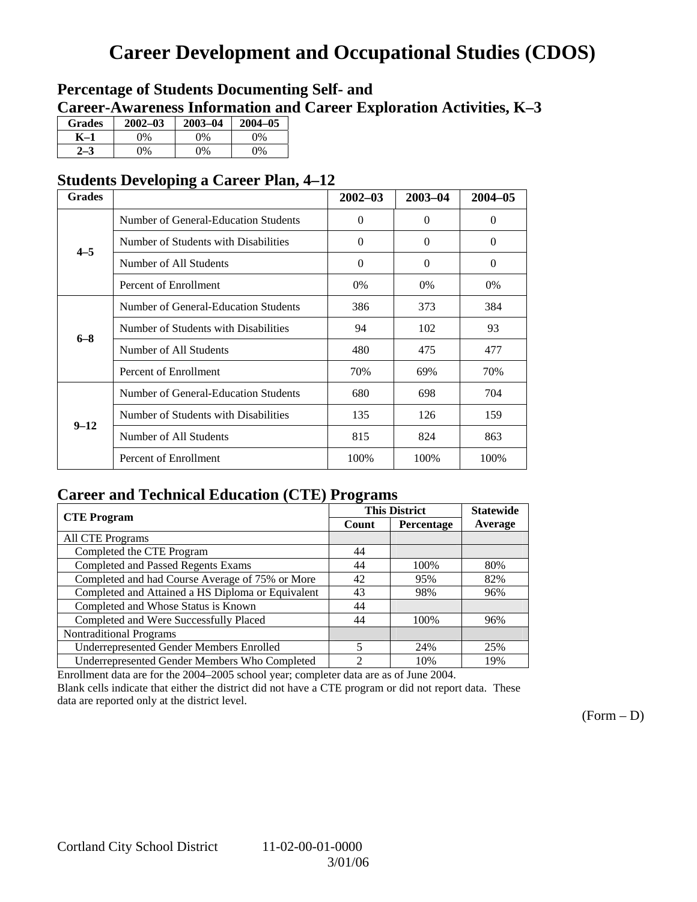## **Career Development and Occupational Studies (CDOS)**

## **Percentage of Students Documenting Self- and Career-Awareness Information and Career Exploration Activities, K–3**

| <b>Grades</b> | $2002 - 03$ | $2003 - 04$ | $2004 - 05$ |
|---------------|-------------|-------------|-------------|
| K–1           | 9%          | $0\%$       | 0%          |
| $2 - 3$       | 9%          | 0%          | 0%          |

## **Students Developing a Career Plan, 4–12**

| <b>Grades</b> |                                      | $2002 - 03$ | 2003-04  | $2004 - 05$ |
|---------------|--------------------------------------|-------------|----------|-------------|
|               | Number of General-Education Students | $\theta$    | $\Omega$ | $\Omega$    |
| $4 - 5$       | Number of Students with Disabilities | $\Omega$    | $\Omega$ | $\Omega$    |
|               | Number of All Students               | $\Omega$    | $\Omega$ | $\Omega$    |
|               | Percent of Enrollment                | $0\%$       | 0%       | 0%          |
|               | Number of General-Education Students | 386         | 373      | 384         |
| $6 - 8$       | Number of Students with Disabilities | 94          | 102      | 93          |
|               | Number of All Students               | 480         | 475      | 477         |
|               | Percent of Enrollment                | 70%         | 69%      | 70%         |
|               | Number of General-Education Students | 680         | 698      | 704         |
| $9 - 12$      | Number of Students with Disabilities | 135         | 126      | 159         |
|               | Number of All Students               | 815         | 824      | 863         |
|               | Percent of Enrollment                | 100%        | 100%     | 100%        |

## **Career and Technical Education (CTE) Programs**

|                                                   |       | <b>This District</b> | <b>Statewide</b> |
|---------------------------------------------------|-------|----------------------|------------------|
| <b>CTE</b> Program                                | Count | Percentage           | Average          |
| <b>All CTE Programs</b>                           |       |                      |                  |
| Completed the CTE Program                         | 44    |                      |                  |
| <b>Completed and Passed Regents Exams</b>         | 44    | 100%                 | 80%              |
| Completed and had Course Average of 75% or More   | 42    | 95%                  | 82%              |
| Completed and Attained a HS Diploma or Equivalent | 43    | 98%                  | 96%              |
| Completed and Whose Status is Known               | 44    |                      |                  |
| Completed and Were Successfully Placed            | 44    | 100%                 | 96%              |
| <b>Nontraditional Programs</b>                    |       |                      |                  |
| <b>Underrepresented Gender Members Enrolled</b>   | 5     | 24%                  | 25%              |
| Underrepresented Gender Members Who Completed     | 2     | 10%                  | 19%              |

Enrollment data are for the 2004–2005 school year; completer data are as of June 2004.

Blank cells indicate that either the district did not have a CTE program or did not report data. These data are reported only at the district level.

 $(Form - D)$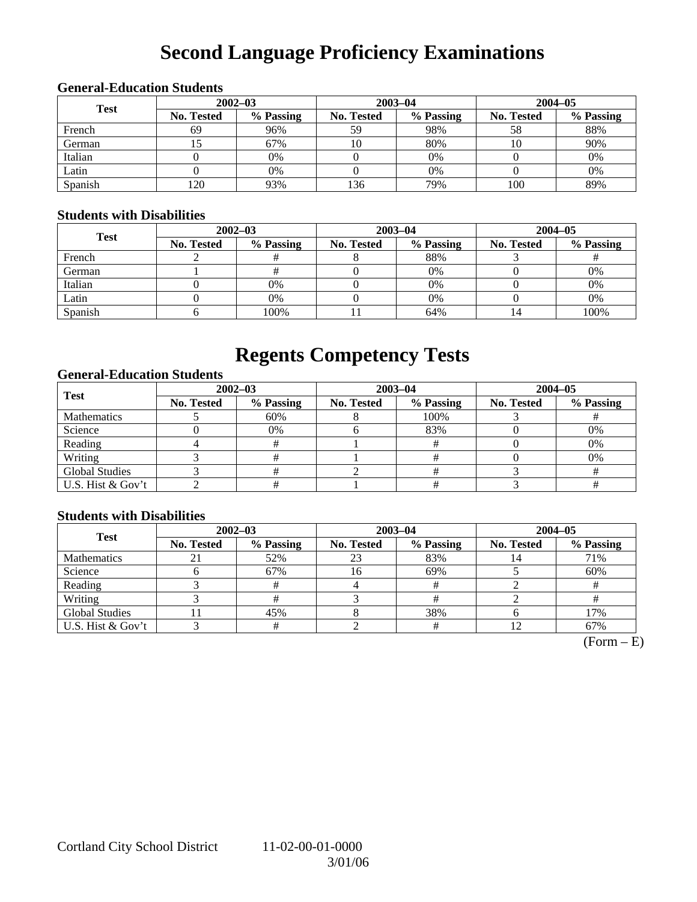# **Second Language Proficiency Examinations**

## **General-Education Students**

| <b>Test</b> | $2002 - 03$       |           |                   | $2003 - 04$ | $2004 - 05$       |           |  |
|-------------|-------------------|-----------|-------------------|-------------|-------------------|-----------|--|
|             | <b>No. Tested</b> | % Passing | <b>No. Tested</b> | % Passing   | <b>No. Tested</b> | % Passing |  |
| French      | 69                | 96%       | 59                | 98%         | 58                | 88%       |  |
| German      |                   | 67%       | 10                | 80%         | 10                | 90%       |  |
| Italian     |                   | 0%        |                   | 0%          |                   | 0%        |  |
| Latin       |                   | 0%        |                   | $0\%$       |                   | 0%        |  |
| Spanish     | 120               | 93%       | 136               | 79%         | 100               | 89%       |  |

### **Students with Disabilities**

| <b>Test</b> | $2002 - 03$ |           |            | $2003 - 04$ | $2004 - 05$       |           |  |
|-------------|-------------|-----------|------------|-------------|-------------------|-----------|--|
|             | No. Tested  | % Passing | No. Tested | % Passing   | <b>No. Tested</b> | % Passing |  |
| French      |             |           |            | 88%         |                   |           |  |
| German      |             |           |            | $0\%$       |                   | 0%        |  |
| Italian     |             | 0%        |            | $0\%$       |                   | 0%        |  |
| Latin       |             | 0%        |            | $0\%$       |                   | 0%        |  |
| Spanish     |             | 100%      |            | 64%         | 14                | 100%      |  |

## **Regents Competency Tests**

### **General-Education Students**

| <b>Test</b>           |                   | $2002 - 03$ |            | $2003 - 04$ | $2004 - 05$ |           |  |
|-----------------------|-------------------|-------------|------------|-------------|-------------|-----------|--|
|                       | <b>No. Tested</b> | % Passing   | No. Tested | % Passing   | No. Tested  | % Passing |  |
| <b>Mathematics</b>    |                   | 60%         |            | 100%        |             |           |  |
| Science               |                   | 0%          |            | 83%         |             | 0%        |  |
| Reading               |                   |             |            |             |             | 0%        |  |
| Writing               |                   |             |            |             |             | 0%        |  |
| <b>Global Studies</b> |                   |             |            |             |             |           |  |
| U.S. Hist & Gov't     |                   |             |            |             |             |           |  |

### **Students with Disabilities**

| <b>Test</b>           | $2002 - 03$       |           | $2003 - 04$ |           | $2004 - 05$ |           |  |
|-----------------------|-------------------|-----------|-------------|-----------|-------------|-----------|--|
|                       | <b>No. Tested</b> | % Passing | No. Tested  | % Passing | No. Tested  | % Passing |  |
| <b>Mathematics</b>    |                   | 52%       | 23          | 83%       |             | 71%       |  |
| Science               |                   | 67%       | 16          | 69%       |             | 60%       |  |
| Reading               |                   |           |             |           |             |           |  |
| Writing               |                   |           |             |           |             |           |  |
| <b>Global Studies</b> |                   | 45%       |             | 38%       |             | 17%       |  |
| U.S. Hist & Gov't     |                   |           |             |           |             | 67%       |  |

 $\overline{\text{(Form - E)}}$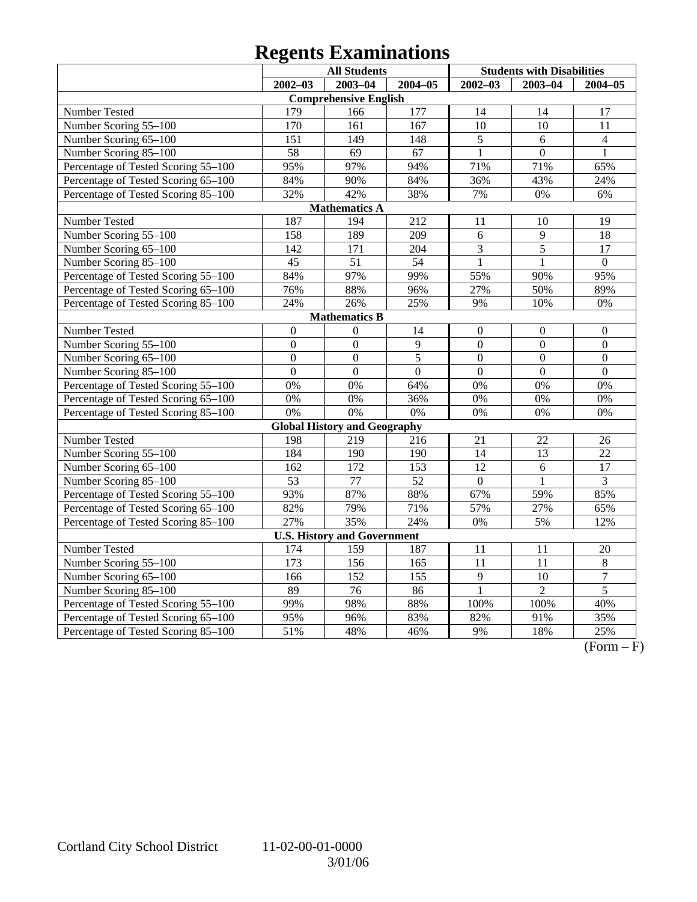# **Regents Examinations**

|                                     | <b>All Students</b> |                                     |                  | <b>Students with Disabilities</b> |                 |                  |
|-------------------------------------|---------------------|-------------------------------------|------------------|-----------------------------------|-----------------|------------------|
|                                     | $2002 - 03$         | $2003 - 04$                         | $2004 - 05$      | $2002 - 03$                       | $2003 - 04$     | $2004 - 05$      |
|                                     |                     | <b>Comprehensive English</b>        |                  |                                   |                 |                  |
| Number Tested                       | 179                 | 166                                 | 177              | 14                                | 14              | 17               |
| Number Scoring 55-100               | 170                 | 161                                 | 167              | $\overline{10}$                   | $\overline{10}$ | $\overline{11}$  |
| Number Scoring 65-100               | 151                 | 149                                 | 148              | 5                                 | 6               | $\overline{4}$   |
| Number Scoring 85-100               | $\overline{58}$     | 69                                  | 67               | $\mathbf{1}$                      | $\overline{0}$  | 1                |
| Percentage of Tested Scoring 55-100 | 95%                 | 97%                                 | 94%              | 71%                               | 71%             | 65%              |
| Percentage of Tested Scoring 65-100 | 84%                 | 90%                                 | 84%              | 36%                               | 43%             | 24%              |
| Percentage of Tested Scoring 85-100 | 32%                 | 42%                                 | 38%              | 7%                                | 0%              | 6%               |
|                                     |                     | <b>Mathematics A</b>                |                  |                                   |                 |                  |
| Number Tested                       | 187                 | 194                                 | $\overline{212}$ | 11                                | 10              | 19               |
| Number Scoring 55-100               | 158                 | 189                                 | 209              | 6                                 | 9               | 18               |
| Number Scoring 65-100               | 142                 | 171                                 | 204              | $\overline{3}$                    | $\overline{5}$  | 17               |
| Number Scoring 85-100               | $\overline{45}$     | $\overline{51}$                     | $\overline{54}$  | $\overline{1}$                    | $\mathbf{1}$    | $\overline{0}$   |
| Percentage of Tested Scoring 55-100 | 84%                 | 97%                                 | 99%              | 55%                               | 90%             | 95%              |
| Percentage of Tested Scoring 65-100 | 76%                 | 88%                                 | 96%              | 27%                               | 50%             | 89%              |
| Percentage of Tested Scoring 85-100 | 24%                 | 26%                                 | 25%              | 9%                                | 10%             | 0%               |
|                                     |                     | <b>Mathematics B</b>                |                  |                                   |                 |                  |
| Number Tested                       | $\boldsymbol{0}$    | $\mathbf{0}$                        | 14               | $\overline{0}$                    | $\overline{0}$  | $\boldsymbol{0}$ |
| Number Scoring 55-100               | $\overline{0}$      | $\overline{0}$                      | $\overline{9}$   | $\overline{0}$                    | $\overline{0}$  | $\overline{0}$   |
| Number Scoring 65-100               | $\boldsymbol{0}$    | $\overline{0}$                      | $\overline{5}$   | $\overline{0}$                    | $\overline{0}$  | $\boldsymbol{0}$ |
| Number Scoring 85-100               | $\overline{0}$      | $\overline{0}$                      | $\overline{0}$   | $\overline{0}$                    | $\overline{0}$  | $\overline{0}$   |
| Percentage of Tested Scoring 55-100 | 0%                  | 0%                                  | 64%              | 0%                                | 0%              | 0%               |
| Percentage of Tested Scoring 65-100 | $\overline{0\%}$    | 0%                                  | 36%              | 0%                                | 0%              | 0%               |
| Percentage of Tested Scoring 85-100 | 0%                  | 0%                                  | 0%               | 0%                                | 0%              | 0%               |
|                                     |                     | <b>Global History and Geography</b> |                  |                                   |                 |                  |
| Number Tested                       | 198                 | 219                                 | 216              | 21                                | 22              | 26               |
| Number Scoring 55-100               | 184                 | 190                                 | 190              | 14                                | 13              | 22               |
| Number Scoring 65-100               | 162                 | 172                                 | 153              | 12                                | 6               | 17               |
| Number Scoring 85-100               | $\overline{53}$     | $\overline{77}$                     | $\overline{52}$  | $\overline{0}$                    | $\mathbf{1}$    | $\overline{3}$   |
| Percentage of Tested Scoring 55-100 | 93%                 | 87%                                 | 88%              | 67%                               | 59%             | 85%              |
| Percentage of Tested Scoring 65-100 | 82%                 | 79%                                 | 71%              | 57%                               | 27%             | 65%              |
| Percentage of Tested Scoring 85-100 | 27%                 | 35%                                 | 24%              | 0%                                | 5%              | 12%              |
|                                     |                     | <b>U.S. History and Government</b>  |                  |                                   |                 |                  |
| Number Tested                       | 174                 | 159                                 | 187              | 11                                | 11              | 20               |
| Number Scoring 55-100               | 173                 | 156                                 | 165              | 11                                | 11              | 8                |
| Number Scoring 65-100               | 166                 | 152                                 | 155              | $\overline{9}$                    | 10              | $\boldsymbol{7}$ |
| Number Scoring 85-100               | 89                  | 76                                  | 86               | $\mathbf{1}$                      | $\overline{2}$  | $\overline{5}$   |
| Percentage of Tested Scoring 55-100 | 99%                 | 98%                                 | 88%              | 100%                              | 100%            | 40%              |
| Percentage of Tested Scoring 65-100 | 95%                 | 96%                                 | 83%              | 82%                               | 91%             | 35%              |
| Percentage of Tested Scoring 85-100 | 51%                 | 48%                                 | 46%              | 9%                                | 18%             | 25%              |

 $\overline{(Form - F)}$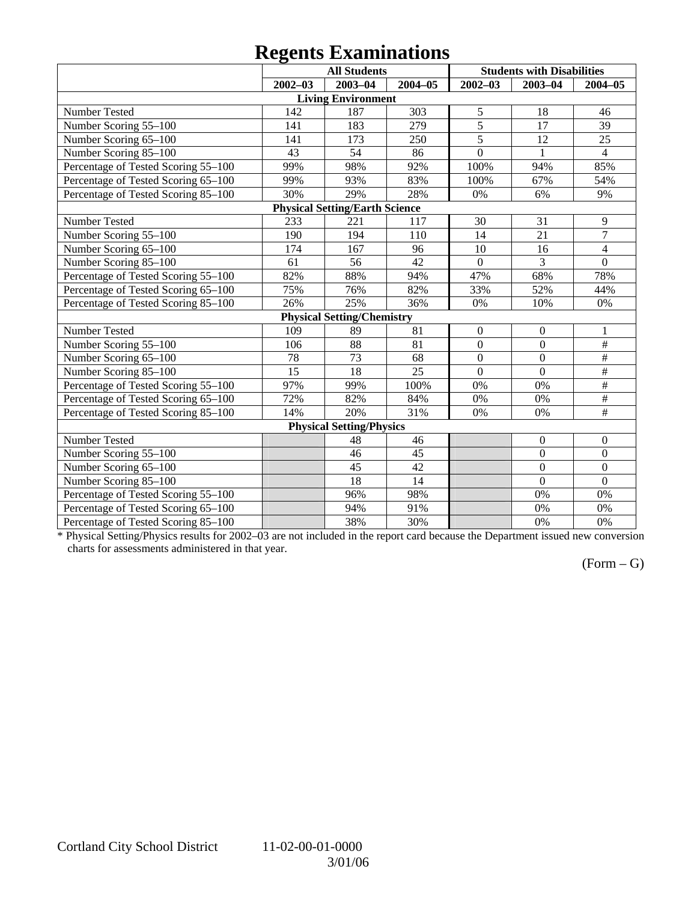## **Regents Examinations**

|                                     | o           | <b>All Students</b>                   |             |                  | <b>Students with Disabilities</b> |                          |
|-------------------------------------|-------------|---------------------------------------|-------------|------------------|-----------------------------------|--------------------------|
|                                     | $2002 - 03$ | $2003 - 04$                           | $2004 - 05$ | $2002 - 03$      | $2003 - 04$                       | $2004 - 05$              |
|                                     |             | <b>Living Environment</b>             |             |                  |                                   |                          |
| Number Tested                       | 142         | 187                                   | 303         | 5                | 18                                | 46                       |
| Number Scoring 55-100               | 141         | 183                                   | 279         | $\overline{5}$   | 17                                | 39                       |
| Number Scoring 65-100               | 141         | 173                                   | 250         | $\overline{5}$   | 12                                | 25                       |
| Number Scoring 85-100               | 43          | 54                                    | 86          | $\overline{0}$   | $\mathbf{1}$                      | $\overline{4}$           |
| Percentage of Tested Scoring 55-100 | 99%         | 98%                                   | 92%         | 100%             | 94%                               | 85%                      |
| Percentage of Tested Scoring 65-100 | 99%         | 93%                                   | 83%         | 100%             | 67%                               | 54%                      |
| Percentage of Tested Scoring 85-100 | 30%         | 29%                                   | 28%         | 0%               | 6%                                | 9%                       |
|                                     |             | <b>Physical Setting/Earth Science</b> |             |                  |                                   |                          |
| Number Tested                       | 233         | 221                                   | 117         | 30               | 31                                | 9                        |
| Number Scoring 55-100               | 190         | 194                                   | 110         | 14               | 21                                | $\overline{7}$           |
| Number Scoring 65-100               | 174         | 167                                   | 96          | 10               | 16                                | $\overline{\mathcal{L}}$ |
| Number Scoring 85-100               | 61          | 56                                    | 42          | $\boldsymbol{0}$ | 3                                 | $\mathbf{0}$             |
| Percentage of Tested Scoring 55-100 | 82%         | 88%                                   | 94%         | 47%              | 68%                               | 78%                      |
| Percentage of Tested Scoring 65-100 | 75%         | 76%                                   | 82%         | 33%              | 52%                               | 44%                      |
| Percentage of Tested Scoring 85-100 | 26%         | 25%                                   | 36%         | 0%               | 10%                               | 0%                       |
|                                     |             | <b>Physical Setting/Chemistry</b>     |             |                  |                                   |                          |
| Number Tested                       | 109         | 89                                    | 81          | $\mathbf{0}$     | $\overline{0}$                    | 1                        |
| Number Scoring 55-100               | 106         | 88                                    | 81          | $\boldsymbol{0}$ | $\mathbf{0}$                      | $\#$                     |
| Number Scoring 65-100               | 78          | 73                                    | 68          | $\overline{0}$   | $\overline{0}$                    | $\#$                     |
| Number Scoring 85-100               | 15          | 18                                    | 25          | $\overline{0}$   | $\overline{0}$                    | #                        |
| Percentage of Tested Scoring 55-100 | 97%         | 99%                                   | 100%        | 0%               | 0%                                | $\overline{\#}$          |
| Percentage of Tested Scoring 65-100 | 72%         | 82%                                   | 84%         | 0%               | 0%                                | $\#$                     |
| Percentage of Tested Scoring 85-100 | 14%         | 20%                                   | 31%         | 0%               | 0%                                | #                        |
|                                     |             | <b>Physical Setting/Physics</b>       |             |                  |                                   |                          |
| Number Tested                       |             | 48                                    | 46          |                  | $\boldsymbol{0}$                  | $\boldsymbol{0}$         |
| Number Scoring 55-100               |             | 46                                    | 45          |                  | $\mathbf{0}$                      | $\boldsymbol{0}$         |
| Number Scoring 65-100               |             | 45                                    | 42          |                  | $\overline{0}$                    | $\boldsymbol{0}$         |
| Number Scoring 85-100               |             | 18                                    | 14          |                  | $\overline{0}$                    | $\overline{0}$           |
| Percentage of Tested Scoring 55-100 |             | 96%                                   | 98%         |                  | 0%                                | 0%                       |
| Percentage of Tested Scoring 65-100 |             | 94%                                   | 91%         |                  | 0%                                | 0%                       |
| Percentage of Tested Scoring 85-100 |             | 38%                                   | 30%         |                  | 0%                                | 0%                       |

\* Physical Setting/Physics results for 2002–03 are not included in the report card because the Department issued new conversion charts for assessments administered in that year.

### $(Form - G)$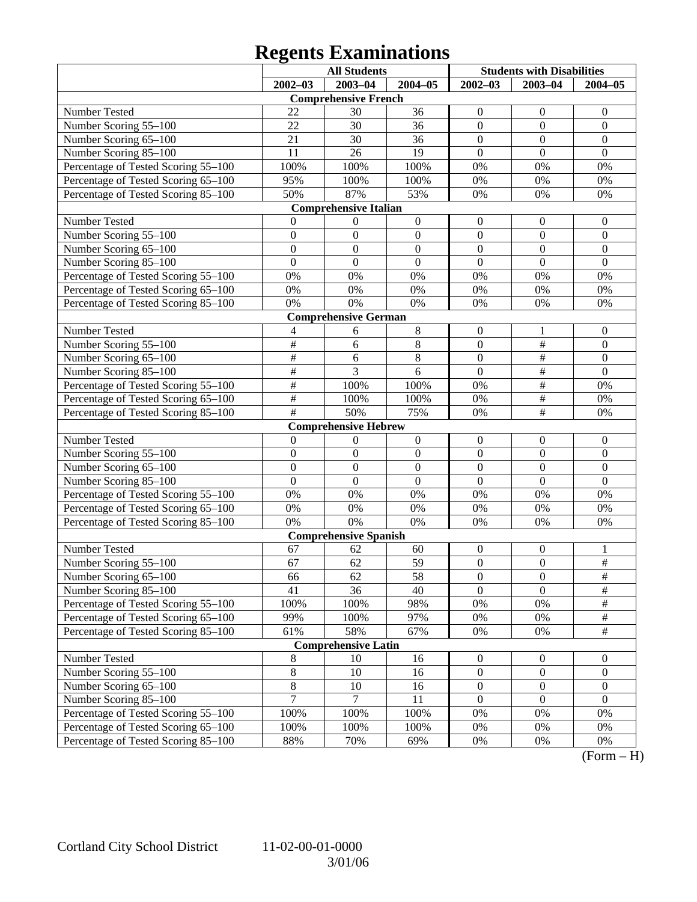# **Regents Examinations**

|                                     | <b>All Students</b>       |                              |                  | <b>Students with Disabilities</b> |                  |                  |
|-------------------------------------|---------------------------|------------------------------|------------------|-----------------------------------|------------------|------------------|
|                                     | $2002 - 03$               | $2003 - 04$                  | $2004 - 05$      | $2002 - 03$                       | $2003 - 04$      | $2004 - 05$      |
|                                     |                           | <b>Comprehensive French</b>  |                  |                                   |                  |                  |
| Number Tested                       | 22                        | 30                           | 36               | $\boldsymbol{0}$                  | $\boldsymbol{0}$ | $\mathbf{0}$     |
| Number Scoring 55-100               | 22                        | 30                           | 36               | $\boldsymbol{0}$                  | $\mathbf{0}$     | $\boldsymbol{0}$ |
| Number Scoring 65-100               | 21                        | 30                           | 36               | $\boldsymbol{0}$                  | $\mathbf{0}$     | $\mathbf{0}$     |
| Number Scoring 85-100               | 11                        | 26                           | 19               | $\boldsymbol{0}$                  | $\mathbf{0}$     | $\mathbf{0}$     |
| Percentage of Tested Scoring 55-100 | 100%                      | 100%                         | 100%             | $0\%$                             | 0%               | 0%               |
| Percentage of Tested Scoring 65-100 | 95%                       | 100%                         | 100%             | 0%                                | 0%               | 0%               |
| Percentage of Tested Scoring 85-100 | 50%                       | 87%                          | 53%              | 0%                                | 0%               | 0%               |
|                                     |                           | <b>Comprehensive Italian</b> |                  |                                   |                  |                  |
| Number Tested                       | 0                         | $\boldsymbol{0}$             | $\boldsymbol{0}$ | $\boldsymbol{0}$                  | $\boldsymbol{0}$ | $\mathbf{0}$     |
| Number Scoring 55-100               | $\boldsymbol{0}$          | $\boldsymbol{0}$             | $\boldsymbol{0}$ | $\boldsymbol{0}$                  | $\boldsymbol{0}$ | $\boldsymbol{0}$ |
| Number Scoring 65-100               | $\boldsymbol{0}$          | $\boldsymbol{0}$             | $\boldsymbol{0}$ | $\boldsymbol{0}$                  | $\overline{0}$   | $\boldsymbol{0}$ |
| Number Scoring 85-100               | $\mathbf{0}$              | $\boldsymbol{0}$             | $\mathbf{0}$     | $\mathbf{0}$                      | $\mathbf{0}$     | $\mathbf{0}$     |
| Percentage of Tested Scoring 55-100 | 0%                        | 0%                           | 0%               | 0%                                | 0%               | 0%               |
| Percentage of Tested Scoring 65-100 | 0%                        | 0%                           | $0\%$            | 0%                                | 0%               | 0%               |
| Percentage of Tested Scoring 85-100 | 0%                        | 0%                           | 0%               | 0%                                | 0%               | 0%               |
|                                     |                           | <b>Comprehensive German</b>  |                  |                                   |                  |                  |
| Number Tested                       | 4                         | 6                            | 8                | $\boldsymbol{0}$                  | 1                | $\mathbf{0}$     |
| Number Scoring 55-100               | $\overline{\#}$           | 6                            | $\,8\,$          | $\boldsymbol{0}$                  | $\overline{\#}$  | $\boldsymbol{0}$ |
| Number Scoring 65-100               | #                         | 6                            | $\,8\,$          | $\boldsymbol{0}$                  | #                | $\boldsymbol{0}$ |
| Number Scoring 85-100               | #                         | $\overline{3}$               | 6                | $\mathbf{0}$                      | #                | $\overline{0}$   |
| Percentage of Tested Scoring 55-100 | #                         | 100%                         | 100%             | 0%                                | #                | 0%               |
| Percentage of Tested Scoring 65-100 | #                         | 100%                         | 100%             | 0%                                | $\frac{1}{2}$    | 0%               |
| Percentage of Tested Scoring 85-100 | $\overline{\overline{H}}$ | 50%                          | 75%              | 0%                                | $\overline{\#}$  | 0%               |
|                                     |                           | <b>Comprehensive Hebrew</b>  |                  |                                   |                  |                  |
| Number Tested                       | $\boldsymbol{0}$          | $\boldsymbol{0}$             | $\boldsymbol{0}$ | $\boldsymbol{0}$                  | $\boldsymbol{0}$ | $\mathbf{0}$     |
| Number Scoring 55-100               | $\boldsymbol{0}$          | $\boldsymbol{0}$             | $\boldsymbol{0}$ | $\boldsymbol{0}$                  | $\boldsymbol{0}$ | $\boldsymbol{0}$ |
| Number Scoring 65-100               | $\boldsymbol{0}$          | $\boldsymbol{0}$             | $\boldsymbol{0}$ | $\boldsymbol{0}$                  | $\overline{0}$   | $\boldsymbol{0}$ |
| Number Scoring 85-100               | $\overline{0}$            | $\boldsymbol{0}$             | $\mathbf{0}$     | $\mathbf{0}$                      | $\overline{0}$   | $\overline{0}$   |
| Percentage of Tested Scoring 55-100 | 0%                        | 0%                           | 0%               | 0%                                | 0%               | 0%               |
| Percentage of Tested Scoring 65-100 | 0%                        | 0%                           | $0\%$            | 0%                                | 0%               | 0%               |
| Percentage of Tested Scoring 85-100 | 0%                        | 0%                           | $0\%$            | 0%                                | 0%               | 0%               |
|                                     |                           | <b>Comprehensive Spanish</b> |                  |                                   |                  |                  |
| Number Tested                       | 67                        | 62                           | 60               | $\boldsymbol{0}$                  | $\boldsymbol{0}$ | 1                |
| Number Scoring 55-100               | 67                        | 62                           | 59               | $\boldsymbol{0}$                  | $\mathbf{0}$     | $\overline{\#}$  |
| Number Scoring 65-100               | 66                        | 62                           | 58               | $\boldsymbol{0}$                  | $\boldsymbol{0}$ | #                |
| Number Scoring 85-100               | 41                        | 36                           | 40               | $\overline{0}$                    | $\overline{0}$   | $\overline{\#}$  |
| Percentage of Tested Scoring 55-100 | 100%                      | 100%                         | 98%              | 0%                                | 0%               | $\#$             |
| Percentage of Tested Scoring 65-100 | 99%                       | 100%                         | 97%              | 0%                                | 0%               | $\frac{1}{2}$    |
| Percentage of Tested Scoring 85-100 | 61%                       | 58%                          | 67%              | 0%                                | 0%               | $\overline{\#}$  |
|                                     |                           | <b>Comprehensive Latin</b>   |                  |                                   |                  |                  |
| Number Tested                       | $\,8$                     | 10                           | 16               | $\boldsymbol{0}$                  | $\boldsymbol{0}$ | $\overline{0}$   |
| Number Scoring 55-100               | $\,8\,$<br>$\overline{8}$ | 10                           | 16               | $\boldsymbol{0}$                  | $\boldsymbol{0}$ | $\boldsymbol{0}$ |
| Number Scoring 65-100               | $\overline{7}$            | 10<br>7                      | 16               | $\boldsymbol{0}$                  | $\boldsymbol{0}$ | $\boldsymbol{0}$ |
| Number Scoring 85-100               |                           |                              | 11               | $\boldsymbol{0}$                  | $\boldsymbol{0}$ | $\boldsymbol{0}$ |
| Percentage of Tested Scoring 55-100 | 100%                      | 100%                         | 100%             | 0%                                | 0%               | 0%               |
| Percentage of Tested Scoring 65-100 | 100%                      | 100%                         | 100%             | 0%                                | 0%               | 0%               |
| Percentage of Tested Scoring 85-100 | 88%                       | 70%                          | 69%              | 0%                                | 0%               | 0%               |

 $(Form - H)$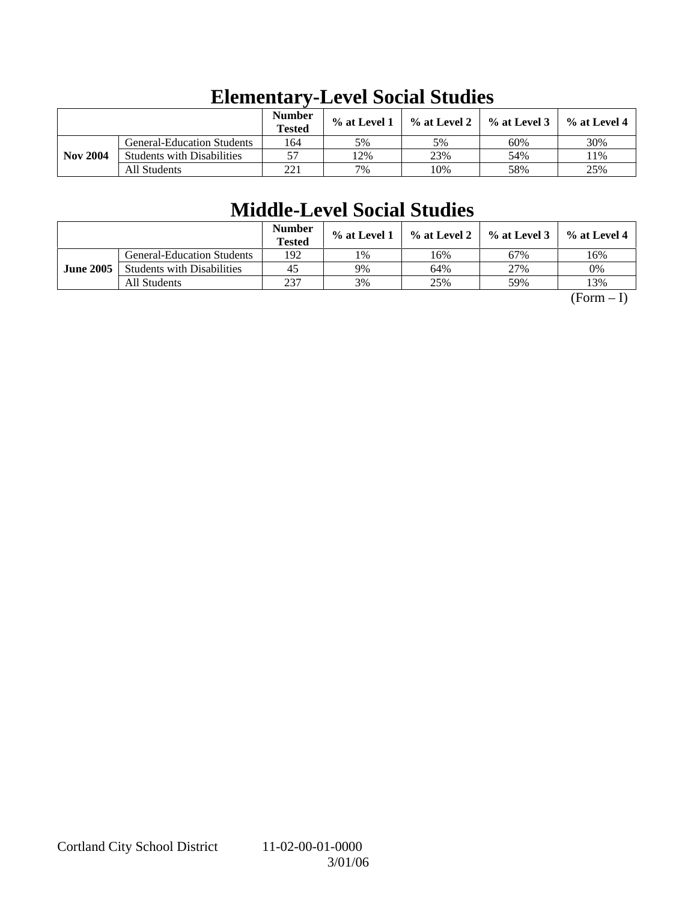|                 |                                   | <b>Number</b><br><b>Tested</b> | $%$ at Level 1 | $\%$ at Level 2 | $%$ at Level 3 | $%$ at Level 4 |
|-----------------|-----------------------------------|--------------------------------|----------------|-----------------|----------------|----------------|
|                 | <b>General-Education Students</b> | 164                            | 5%             | 5%              | 60%            | 30%            |
| <b>Nov 2004</b> | <b>Students with Disabilities</b> | 57                             | 2%             | 23%             | 54%            | .1%            |
|                 | All Students                      | 221                            | 7%             | 10%             | 58%            | 25%            |

# **Elementary-Level Social Studies**

# **Middle-Level Social Studies**

|                  |                                   | Number<br><b>Tested</b> | $\%$ at Level 1 | $\%$ at Level 2 | $%$ at Level 3 | % at Level 4 |
|------------------|-----------------------------------|-------------------------|-----------------|-----------------|----------------|--------------|
|                  | <b>General-Education Students</b> | 192                     | 1%              | 16%             | 67%            | 16%          |
| <b>June 2005</b> | <b>Students with Disabilities</b> | 45                      | 9%              | 64%             | 27%            | 0%           |
|                  | All Students                      | 237                     | 3%              | 25%             | 59%            | 13%          |

 $(Form - I)$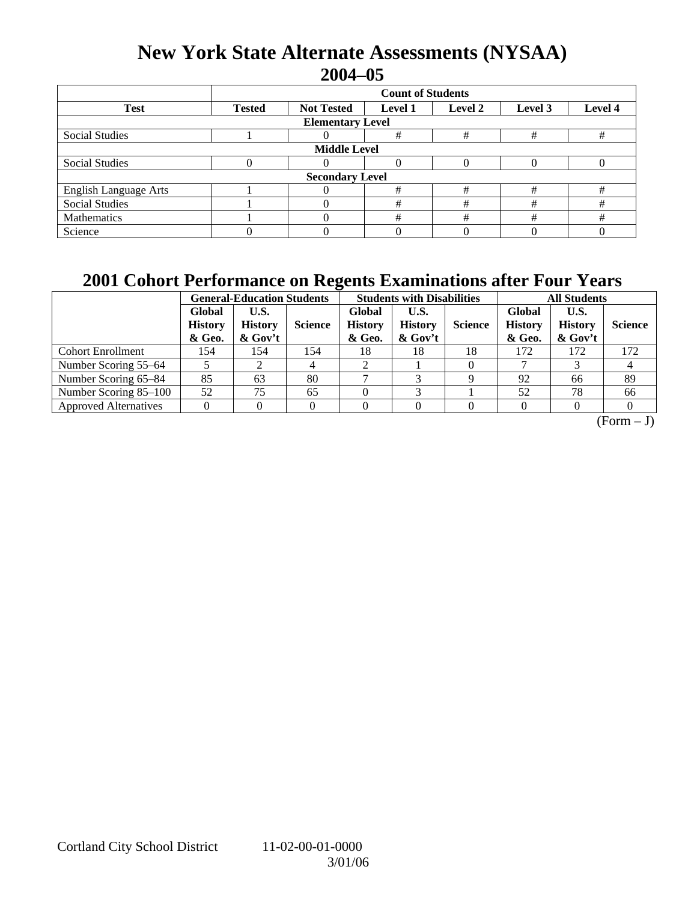## **New York State Alternate Assessments (NYSAA) 2004–05**

|                              | <b>Count of Students</b>                                                              |  |   |   |   |   |  |  |  |
|------------------------------|---------------------------------------------------------------------------------------|--|---|---|---|---|--|--|--|
| <b>Test</b>                  | Level 4<br><b>Not Tested</b><br><b>Tested</b><br><b>Level 1</b><br>Level 2<br>Level 3 |  |   |   |   |   |  |  |  |
| <b>Elementary Level</b>      |                                                                                       |  |   |   |   |   |  |  |  |
| <b>Social Studies</b>        |                                                                                       |  | # | # | # | # |  |  |  |
| <b>Middle Level</b>          |                                                                                       |  |   |   |   |   |  |  |  |
| <b>Social Studies</b>        |                                                                                       |  | 0 |   |   |   |  |  |  |
| <b>Secondary Level</b>       |                                                                                       |  |   |   |   |   |  |  |  |
| <b>English Language Arts</b> |                                                                                       |  | # | # | # | # |  |  |  |
| <b>Social Studies</b>        |                                                                                       |  | # | # | # | # |  |  |  |
| Mathematics                  |                                                                                       |  | # | # | # | # |  |  |  |
| Science                      |                                                                                       |  |   |   |   |   |  |  |  |

## **2001 Cohort Performance on Regents Examinations after Four Years**

|                              | <b>General-Education Students</b>  |                                     |                | <b>Students with Disabilities</b>  |                                      |                | <b>All Students</b>                |                                      |                |
|------------------------------|------------------------------------|-------------------------------------|----------------|------------------------------------|--------------------------------------|----------------|------------------------------------|--------------------------------------|----------------|
|                              | Global<br><b>History</b><br>& Geo. | U.S.<br><b>History</b><br>$&$ Gov't | <b>Science</b> | Global<br><b>History</b><br>& Geo. | U.S.<br><b>History</b><br>$\&$ Gov't | <b>Science</b> | Global<br><b>History</b><br>& Geo. | U.S.<br><b>History</b><br>$\&$ Gov't | <b>Science</b> |
| <b>Cohort Enrollment</b>     | 154                                | 154                                 | 154            | 18                                 | 18                                   | 18             | 172                                | 172                                  | 172            |
| Number Scoring 55–64         |                                    |                                     |                |                                    |                                      |                |                                    |                                      | 4              |
| Number Scoring 65-84         | 85                                 | 63                                  | 80             |                                    |                                      |                | 92                                 | 66                                   | 89             |
| Number Scoring 85-100        | 52                                 | 75                                  | 65             |                                    | ⌒                                    |                | 52                                 | 78                                   | 66             |
| <b>Approved Alternatives</b> |                                    |                                     |                |                                    |                                      |                |                                    |                                      |                |

 $\overline{(Form - J)}$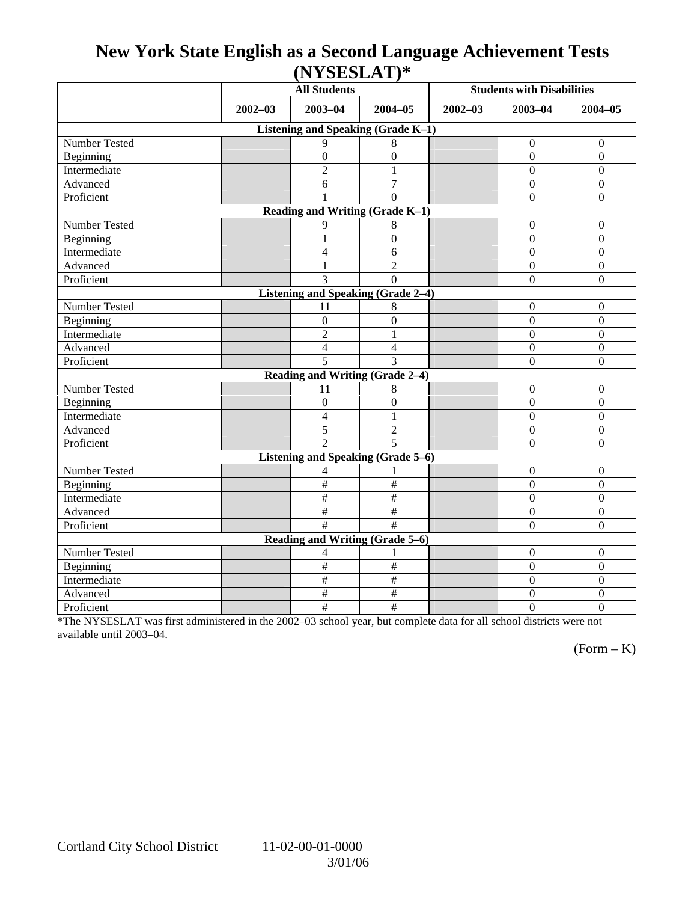## **New York State English as a Second Language Achievement Tests (NYSESLAT)\***

|                                           |             | <b>All Students</b>                       |                       | <b>Students with Disabilities</b> |                  |                  |  |  |  |
|-------------------------------------------|-------------|-------------------------------------------|-----------------------|-----------------------------------|------------------|------------------|--|--|--|
|                                           | $2002 - 03$ | $2003 - 04$<br>$2004 - 05$                |                       | $2002 - 03$                       | $2003 - 04$      | $2004 - 05$      |  |  |  |
| Listening and Speaking (Grade K-1)        |             |                                           |                       |                                   |                  |                  |  |  |  |
| Number Tested                             |             | 9                                         | 8                     |                                   | $\mathbf{0}$     | $\mathbf{0}$     |  |  |  |
| Beginning                                 |             | $\overline{0}$                            | $\overline{0}$        |                                   | $\mathbf{0}$     | $\overline{0}$   |  |  |  |
| Intermediate                              |             | $\overline{2}$                            | 1                     |                                   | $\Omega$         | $\overline{0}$   |  |  |  |
| Advanced                                  |             | 6                                         | $\tau$                |                                   | $\mathbf{0}$     | $\boldsymbol{0}$ |  |  |  |
| Proficient                                |             | $\mathbf{1}$                              | $\mathbf{0}$          |                                   | $\boldsymbol{0}$ | $\boldsymbol{0}$ |  |  |  |
| Reading and Writing (Grade K-1)           |             |                                           |                       |                                   |                  |                  |  |  |  |
| Number Tested                             |             | 9                                         | 8                     |                                   | $\mathbf{0}$     | $\mathbf{0}$     |  |  |  |
| Beginning                                 |             | 1                                         | $\mathbf{0}$          |                                   | $\mathbf{0}$     | $\mathbf{0}$     |  |  |  |
| Intermediate                              |             | $\overline{4}$                            | 6                     |                                   | $\Omega$         | $\overline{0}$   |  |  |  |
| Advanced                                  |             | $\mathbf{1}$                              | $\overline{2}$        |                                   | $\overline{0}$   | $\overline{0}$   |  |  |  |
| Proficient                                |             | 3                                         | $\theta$              |                                   | $\boldsymbol{0}$ | $\mathbf{0}$     |  |  |  |
|                                           |             | <b>Listening and Speaking (Grade 2-4)</b> |                       |                                   |                  |                  |  |  |  |
| Number Tested                             |             | 11                                        | 8                     |                                   | $\mathbf{0}$     | $\mathbf{0}$     |  |  |  |
| Beginning                                 |             | $\mathbf{0}$                              | $\overline{0}$        |                                   | $\mathbf{0}$     | $\mathbf{0}$     |  |  |  |
| Intermediate                              |             | $\overline{2}$                            | 1                     |                                   | $\mathbf{0}$     | $\boldsymbol{0}$ |  |  |  |
| Advanced                                  |             | $\overline{4}$                            | 4                     |                                   | $\mathbf{0}$     | $\boldsymbol{0}$ |  |  |  |
| Proficient                                |             | 5                                         | 3                     |                                   | $\Omega$         | $\mathbf{0}$     |  |  |  |
|                                           |             | Reading and Writing (Grade 2-4)           |                       |                                   |                  |                  |  |  |  |
| Number Tested                             |             | 11                                        | 8                     |                                   | $\mathbf{0}$     | $\mathbf{0}$     |  |  |  |
| Beginning                                 |             | $\boldsymbol{0}$                          | $\boldsymbol{0}$      |                                   | $\boldsymbol{0}$ | $\mathbf{0}$     |  |  |  |
| Intermediate                              |             | $\overline{4}$                            | 1                     |                                   | $\overline{0}$   | $\overline{0}$   |  |  |  |
| Advanced                                  |             | 5                                         | $\overline{2}$        |                                   | $\mathbf{0}$     | $\boldsymbol{0}$ |  |  |  |
| Proficient                                |             | $\mathfrak{D}$                            | 5                     |                                   | $\Omega$         | $\overline{0}$   |  |  |  |
| <b>Listening and Speaking (Grade 5-6)</b> |             |                                           |                       |                                   |                  |                  |  |  |  |
| Number Tested                             |             | 4                                         |                       |                                   | $\boldsymbol{0}$ | $\mathbf{0}$     |  |  |  |
| Beginning                                 |             | $\#$                                      | $\#$                  |                                   | $\Omega$         | $\mathbf{0}$     |  |  |  |
| Intermediate                              |             | $\#$                                      | $\#$                  |                                   | $\mathbf{0}$     | $\boldsymbol{0}$ |  |  |  |
| Advanced                                  |             | $\#$                                      | $\#$                  |                                   | $\boldsymbol{0}$ | $\boldsymbol{0}$ |  |  |  |
| Proficient                                |             | $\overline{\#}$                           | $\overline{\ddot{x}}$ |                                   | $\Omega$         | $\overline{0}$   |  |  |  |
| Reading and Writing (Grade 5-6)           |             |                                           |                       |                                   |                  |                  |  |  |  |
| Number Tested                             |             | 4                                         |                       |                                   | $\overline{0}$   | $\mathbf{0}$     |  |  |  |
| Beginning                                 |             | $\#$                                      | $\#$                  |                                   | $\boldsymbol{0}$ | $\mathbf{0}$     |  |  |  |
| Intermediate                              |             | $\#$                                      | $\#$                  |                                   | $\boldsymbol{0}$ | $\boldsymbol{0}$ |  |  |  |
| Advanced                                  |             | #                                         | $\#$                  |                                   | $\boldsymbol{0}$ | $\overline{0}$   |  |  |  |
| Proficient                                |             | $\#$                                      | $\#$                  |                                   | $\mathbf{0}$     | $\overline{0}$   |  |  |  |

\*The NYSESLAT was first administered in the 2002–03 school year, but complete data for all school districts were not available until 2003–04.

 $(Form - K)$